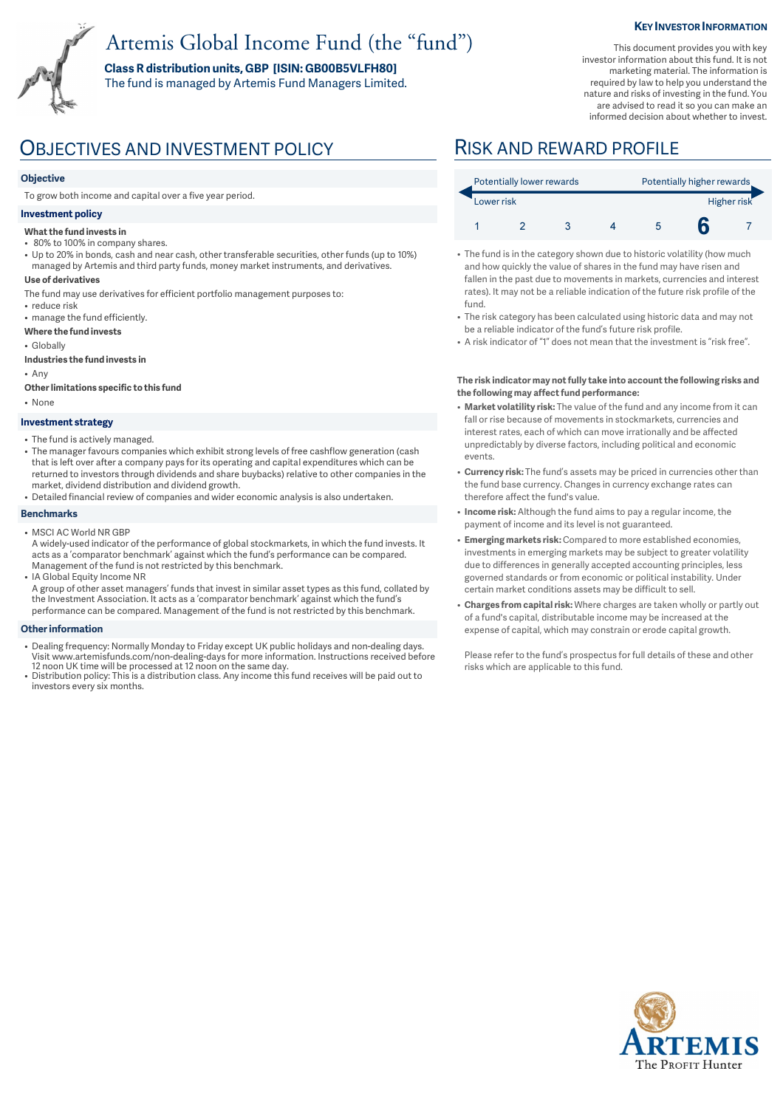# Artemis Global Income Fund (the "fund")

**Class R distribution units, GBP [ISIN: GB00B5VLFH80]**  The fund is managed by Artemis Fund Managers Limited. **KEY INVESTOR INFORMATION** 

This document provides you with key investor information about this fund. It is not marketing material. The information is required by law to help you understand the nature and risks of investing in the fund. You are advised to read it so you can make an informed decision about whether to invest.



## OBJECTIVES AND INVESTMENT POLICY RISK AND REWARD PROFILE

### **Objective**

To grow both income and capital over a five year period.

### **Investment policy**

#### **What the fund invests in**

- 80% to 100% in company shares.
- Up to 20% in bonds, cash and near cash, other transferable securities, other funds (up to 10%) managed by Artemis and third party funds, money market instruments, and derivatives.
- **Use of derivatives**
- The fund may use derivatives for efficient portfolio management purposes to:
- reduce risk • manage the fund efficiently.
- **Where the fund invests**
- Globally
- **Industries the fund invests in**
- Any
- **Other limitations specific to this fund**
- None

#### **Investment strategy**

- The fund is actively managed.
- The manager favours companies which exhibit strong levels of free cashflow generation (cash that is left over after a company pays for its operating and capital expenditures which can be returned to investors through dividends and share buybacks) relative to other companies in the market, dividend distribution and dividend growth.
- Detailed financial review of companies and wider economic analysis is also undertaken.

#### **Benchmarks**

- MSCI AC World NR GBP
- A widely-used indicator of the performance of global stockmarkets, in which the fund invests. It acts as a 'comparator benchmark' against which the fund's performance can be compared. Management of the fund is not restricted by this benchmark.
- IA Global Equity Income NR A group of other asset managers' funds that invest in similar asset types as this fund, collated by the Investment Association. It acts as a 'comparator benchmark' against which the fund's performance can be compared. Management of the fund is not restricted by this benchmark.

#### **Other information**

- Dealing frequency: Normally Monday to Friday except UK public holidays and non-dealing days. Visit www.artemisfunds.com/non-dealing-days for more information. Instructions received before
- 12 noon UK time will be processed at 12 noon on the same day. Distribution policy: This is a distribution class. Any income this fund receives will be paid out to investors every six months.

| Potentially lower rewards |  |  |  | Potentially higher rewards |  |  |
|---------------------------|--|--|--|----------------------------|--|--|
| Lower risk                |  |  |  | Higher risk                |  |  |
|                           |  |  |  |                            |  |  |

- The fund is in the category shown due to historic volatility (how much and how quickly the value of shares in the fund may have risen and fallen in the past due to movements in markets, currencies and interest rates). It may not be a reliable indication of the future risk profile of the fund.
- The risk category has been calculated using historic data and may not be a reliable indicator of the fund's future risk profile.
- A risk indicator of "1" does not mean that the investment is "risk free".

#### **The risk indicator may not fully take into account the following risks and the following may affect fund performance:**

- **Market volatility risk:** The value of the fund and any income from it can fall or rise because of movements in stockmarkets, currencies and interest rates, each of which can move irrationally and be affected unpredictably by diverse factors, including political and economic events.
- **Currency risk:** The fund's assets may be priced in currencies other than the fund base currency. Changes in currency exchange rates can therefore affect the fund's value.
- **Income risk:** Although the fund aims to pay a regular income, the payment of income and its level is not guaranteed.
- **Emerging markets risk:** Compared to more established economies, investments in emerging markets may be subject to greater volatility due to differences in generally accepted accounting principles, less governed standards or from economic or political instability. Under certain market conditions assets may be difficult to sell.
- **Charges from capital risk:** Where charges are taken wholly or partly out of a fund's capital, distributable income may be increased at the expense of capital, which may constrain or erode capital growth.

Please refer to the fund's prospectus for full details of these and other risks which are applicable to this fund.